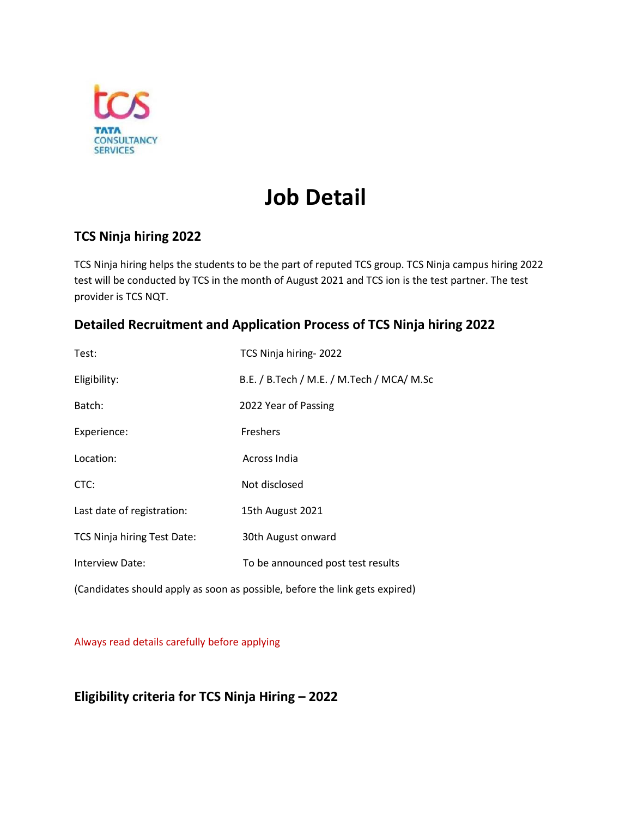

# **Job Detail**

## **TCS Ninja hiring 2022**

TCS Ninja hiring helps the students to be the part of reputed TCS group. TCS Ninja campus hiring 2022 test will be conducted by TCS in the month of August 2021 and TCS ion is the test partner. The test provider is TCS NQT.

### **Detailed Recruitment and Application Process of TCS Ninja hiring 2022**

| Test:                              | TCS Ninja hiring-2022                     |
|------------------------------------|-------------------------------------------|
| Eligibility:                       | B.E. / B.Tech / M.E. / M.Tech / MCA/ M.Sc |
| Batch:                             | 2022 Year of Passing                      |
| Experience:                        | <b>Freshers</b>                           |
| Location:                          | Across India                              |
| CTC:                               | Not disclosed                             |
| Last date of registration:         | 15th August 2021                          |
| <b>TCS Ninja hiring Test Date:</b> | 30th August onward                        |
| Interview Date:                    | To be announced post test results         |
|                                    |                                           |

(Candidates should apply as soon as possible, before the link gets expired)

Always read details carefully before applying

### **Eligibility criteria for TCS Ninja Hiring – 2022**